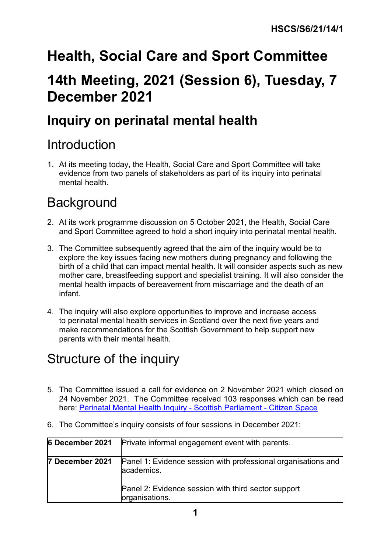# **Health, Social Care and Sport Committee 14th Meeting, 2021 (Session 6), Tuesday, 7 December 2021**

# **Inquiry on perinatal mental health**

### Introduction

1. At its meeting today, the Health, Social Care and Sport Committee will take evidence from two panels of stakeholders as part of its inquiry into perinatal mental health.

## **Background**

- 2. At its work programme discussion on 5 October 2021, the Health, Social Care and Sport Committee agreed to hold a short inquiry into perinatal mental health.
- 3. The Committee subsequently agreed that the aim of the inquiry would be to explore the key issues facing new mothers during pregnancy and following the birth of a child that can impact mental health. It will consider aspects such as new mother care, breastfeeding support and specialist training. It will also consider the mental health impacts of bereavement from miscarriage and the death of an infant.
- 4. The inquiry will also explore opportunities to improve and increase access to perinatal mental health services in Scotland over the next five years and make recommendations for the Scottish Government to help support new parents with their mental health.

### Structure of the inquiry

5. The Committee issued a call for evidence on 2 November 2021 which closed on 24 November 2021. The Committee received 103 responses which can be read here: [Perinatal Mental Health Inquiry -](https://yourviews.parliament.scot/health/perinatal_mental_health/) Scottish Parliament - Citizen Space

| 6 December 2021 | Private informal engagement event with parents.                             |
|-----------------|-----------------------------------------------------------------------------|
| 7 December 2021 | Panel 1: Evidence session with professional organisations and<br>academics. |
|                 | Panel 2: Evidence session with third sector support<br>organisations.       |

6. The Committee's inquiry consists of four sessions in December 2021: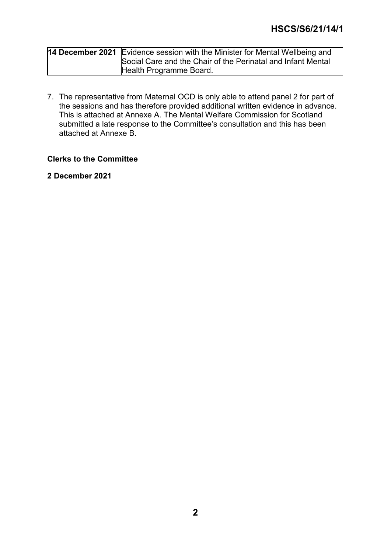| 14 December 2021 Evidence session with the Minister for Mental Wellbeing and |
|------------------------------------------------------------------------------|
| Social Care and the Chair of the Perinatal and Infant Mental                 |
| Health Programme Board.                                                      |

7. The representative from Maternal OCD is only able to attend panel 2 for part of the sessions and has therefore provided additional written evidence in advance. This is attached at Annexe A. The Mental Welfare Commission for Scotland submitted a late response to the Committee's consultation and this has been attached at Annexe B.

#### **Clerks to the Committee**

**2 December 2021**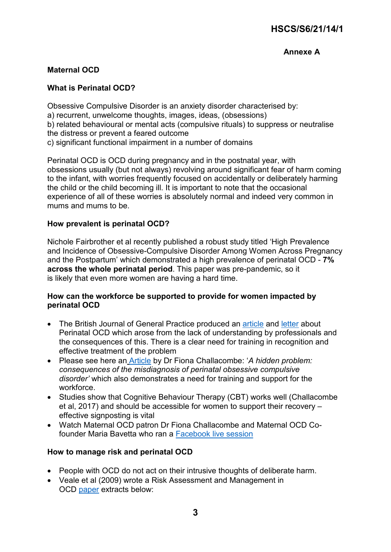### **Annexe A**

#### **Maternal OCD**

#### **What is Perinatal OCD?**

Obsessive Compulsive Disorder is an anxiety disorder characterised by: a) recurrent, unwelcome thoughts, images, ideas, (obsessions) b) related behavioural or mental acts (compulsive rituals) to suppress or neutralise the distress or prevent a feared outcome c) significant functional impairment in a number of domains

Perinatal OCD is OCD during pregnancy and in the postnatal year, with obsessions usually (but not always) revolving around significant fear of harm coming to the infant, with worries frequently focused on accidentally or deliberately harming the child or the child becoming ill. It is important to note that the occasional experience of all of these worries is absolutely normal and indeed very common in mums and mums to be.

#### **How prevalent is perinatal OCD?**

Nichole Fairbrother et al recently published a robust study titled 'High Prevalence and Incidence of Obsessive-Compulsive Disorder Among Women Across Pregnancy and the Postpartum' which demonstrated a high prevalence of perinatal OCD - **7% across the whole perinatal period**. This paper was pre-pandemic, so it is likely that even more women are having a hard time.

#### **How can the workforce be supported to provide for women impacted by perinatal OCD**

- The British Journal of General Practice produced an [article](https://bjgp.org/content/67/661/376) and [letter](https://bjgp.org/content/67/661/376/tab-e-letters) about Perinatal OCD which arose from the lack of understanding by professionals and the consequences of this. There is a clear need for training in recognition and effective treatment of the problem
- Please see here an [Article](https://www.researchgate.net/publication/236637278_A_hidden_problem_Consequences_of_the_misdiagnosis_of_perinatal_obsessive-compulsive_disorder) by Dr Fiona Challacombe: '*A hidden problem: consequences of the misdiagnosis of perinatal obsessive compulsive disorder'* which also demonstrates a need for training and support for the workforce.
- Studies show that Cognitive Behaviour Therapy (CBT) works well (Challacombe et al, 2017) and should be accessible for women to support their recovery – effective signposting is vital
- Watch Maternal OCD patron Dr Fiona Challacombe and Maternal OCD Cofounder Maria Bavetta who ran a [Facebook live session](https://m.facebook.com/PerinatalMHPartnershipUK/videos/762568750601030/?refsrc=deprecated&_rdr)

#### **How to manage risk and perinatal OCD**

- People with OCD do not act on their intrusive thoughts of deliberate harm.
- Veale et al (2009) wrote a Risk Assessment and Management in OCD [paper](https://www.oxfordahsn.org/wp-content/uploads/2015/11/Risk-Assessment-in-OCD.pdf) extracts below: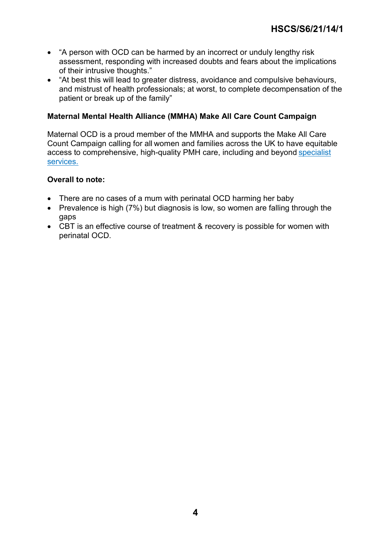- "A person with OCD can be harmed by an incorrect or unduly lengthy risk assessment, responding with increased doubts and fears about the implications of their intrusive thoughts."
- "At best this will lead to greater distress, avoidance and compulsive behaviours, and mistrust of health professionals; at worst, to complete decompensation of the patient or break up of the family"

#### **Maternal Mental Health Alliance (MMHA) Make All Care Count Campaign**

Maternal OCD is a proud member of the MMHA and supports the Make All Care Count Campaign calling for all women and families across the UK to have equitable access to comprehensive, high-quality PMH care, including and beyond [specialist](https://www.canva.com/link?target=https%3A%2F%2Fmaternalmentalhealthalliance.org%2Fcampaign%2Fmaps%2F&design=DAEhqKm3qwU)  [services.](https://www.canva.com/link?target=https%3A%2F%2Fmaternalmentalhealthalliance.org%2Fcampaign%2Fmaps%2F&design=DAEhqKm3qwU)

#### **Overall to note:**

- There are no cases of a mum with perinatal OCD harming her baby
- Prevalence is high (7%) but diagnosis is low, so women are falling through the gaps
- CBT is an effective course of treatment & recovery is possible for women with perinatal OCD.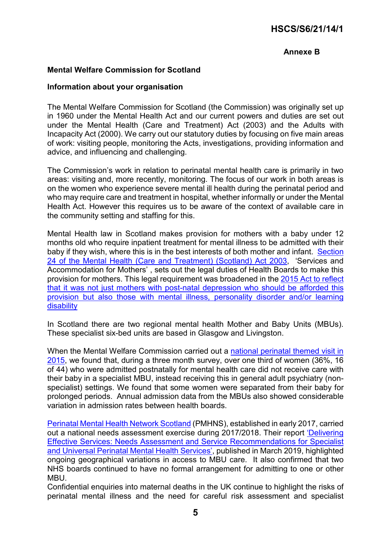### **HSCS/S6/21/14/1**

#### **Annexe B**

#### **Mental Welfare Commission for Scotland**

#### **Information about your organisation**

The Mental Welfare Commission for Scotland (the Commission) was originally set up in 1960 under the Mental Health Act and our current powers and duties are set out under the Mental Health (Care and Treatment) Act (2003) and the Adults with Incapacity Act (2000). We carry out our statutory duties by focusing on five main areas of work: visiting people, monitoring the Acts, investigations, providing information and advice, and influencing and challenging.

The Commission's work in relation to perinatal mental health care is primarily in two areas: visiting and, more recently, monitoring. The focus of our work in both areas is on the women who experience severe mental ill health during the perinatal period and who may require care and treatment in hospital, whether informally or under the Mental Health Act. However this requires us to be aware of the context of available care in the community setting and staffing for this.

Mental Health law in Scotland makes provision for mothers with a baby under 12 months old who require inpatient treatment for mental illness to be admitted with their baby if they wish, where this is in the best interests of both mother and infant. [Section](http://www.legislation.gov.uk/asp/2003/13/section/24)  [24 of the Mental Health \(Care and Treatment\) \(Scotland\) Act 2003,](http://www.legislation.gov.uk/asp/2003/13/section/24) 'Services and Accommodation for Mothers' , sets out the legal duties of Health Boards to make this provision for mothers. This legal requirement was broadened in the [2015 Act](http://www.legislation.gov.uk/asp/2015/9/pdfs/asp_20150009_en.pdf) to reflect that it was not just mothers with post-natal depression who should be afforded this provision but also those with mental illness, personality disorder and/or learning disability

In Scotland there are two regional mental health Mother and Baby Units (MBUs). These specialist six-bed units are based in Glasgow and Livingston.

When the Mental Welfare Commission carried out a [national perinatal themed visit in](https://www.mwcscot.org.uk/media/320718/perinatal_report_final.pdf)  [2015,](https://www.mwcscot.org.uk/media/320718/perinatal_report_final.pdf) we found that, during a three month survey, over one third of women (36%, 16 of 44) who were admitted postnatally for mental health care did not receive care with their baby in a specialist MBU, instead receiving this in general adult psychiatry (nonspecialist) settings. We found that some women were separated from their baby for prolonged periods. Annual admission data from the MBUs also showed considerable variation in admission rates between health boards.

[Perinatal Mental Health Network Scotland](https://www.pmhn.scot.nhs.uk/) (PMHNS), established in early 2017, carried out a national needs assessment exercise during 2017/2018. Their report 'Delivering [Effective Services: Needs Assessment and Service Recommendations for Specialist](https://www.pmhn.scot.nhs.uk/wp-content/uploads/2019/03/PMHN-Needs-Assessment-Report.pdf)  [and Universal Perinatal Mental Health Services'](https://www.pmhn.scot.nhs.uk/wp-content/uploads/2019/03/PMHN-Needs-Assessment-Report.pdf), published in March 2019, highlighted ongoing geographical variations in access to MBU care. It also confirmed that two NHS boards continued to have no formal arrangement for admitting to one or other **MBU.** 

Confidential enquiries into maternal deaths in the UK continue to highlight the risks of perinatal mental illness and the need for careful risk assessment and specialist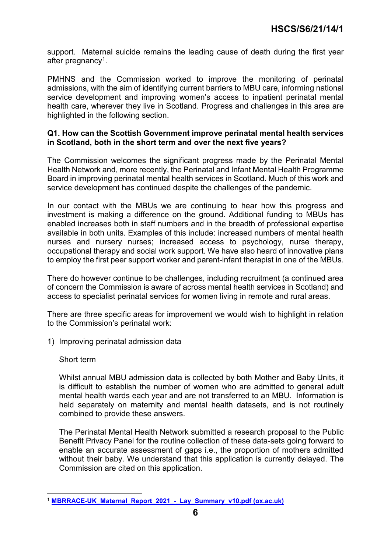support. Maternal suicide remains the leading cause of death during the first year after pregnancy<sup>[1](#page-5-0)</sup>.

PMHNS and the Commission worked to improve the monitoring of perinatal admissions, with the aim of identifying current barriers to MBU care, informing national service development and improving women's access to inpatient perinatal mental health care, wherever they live in Scotland. Progress and challenges in this area are highlighted in the following section.

#### **Q1. How can the Scottish Government improve perinatal mental health services in Scotland, both in the short term and over the next five years?**

The Commission welcomes the significant progress made by the Perinatal Mental Health Network and, more recently, the Perinatal and Infant Mental Health Programme Board in improving perinatal mental health services in Scotland. Much of this work and service development has continued despite the challenges of the pandemic.

In our contact with the MBUs we are continuing to hear how this progress and investment is making a difference on the ground. Additional funding to MBUs has enabled increases both in staff numbers and in the breadth of professional expertise available in both units. Examples of this include: increased numbers of mental health nurses and nursery nurses; increased access to psychology, nurse therapy, occupational therapy and social work support. We have also heard of innovative plans to employ the first peer support worker and parent-infant therapist in one of the MBUs.

There do however continue to be challenges, including recruitment (a continued area of concern the Commission is aware of across mental health services in Scotland) and access to specialist perinatal services for women living in remote and rural areas.

There are three specific areas for improvement we would wish to highlight in relation to the Commission's perinatal work:

1) Improving perinatal admission data

#### Short term

Whilst annual MBU admission data is collected by both Mother and Baby Units, it is difficult to establish the number of women who are admitted to general adult mental health wards each year and are not transferred to an MBU. Information is held separately on maternity and mental health datasets, and is not routinely combined to provide these answers.

The Perinatal Mental Health Network submitted a research proposal to the Public Benefit Privacy Panel for the routine collection of these data-sets going forward to enable an accurate assessment of gaps i.e., the proportion of mothers admitted without their baby. We understand that this application is currently delayed. The Commission are cited on this application.

<span id="page-5-0"></span> **<sup>1</sup> [MBRRACE-UK\\_Maternal\\_Report\\_2021\\_-\\_Lay\\_Summary\\_v10.pdf \(ox.ac.uk\)](https://www.npeu.ox.ac.uk/assets/downloads/mbrrace-uk/reports/maternal-report-2021/MBRRACE-UK_Maternal_Report_2021_-_Lay_Summary_v10.pdf)**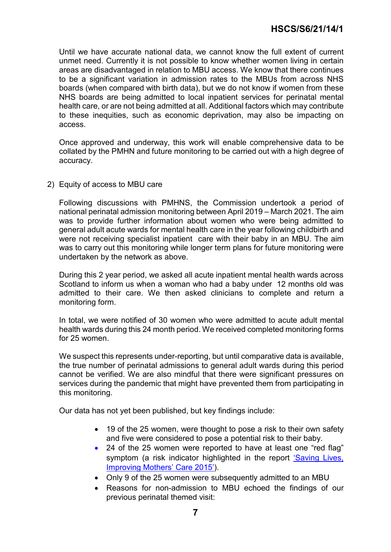Until we have accurate national data, we cannot know the full extent of current unmet need. Currently it is not possible to know whether women living in certain areas are disadvantaged in relation to MBU access. We know that there continues to be a significant variation in admission rates to the MBUs from across NHS boards (when compared with birth data), but we do not know if women from these NHS boards are being admitted to local inpatient services for perinatal mental health care, or are not being admitted at all. Additional factors which may contribute to these inequities, such as economic deprivation, may also be impacting on access.

Once approved and underway, this work will enable comprehensive data to be collated by the PMHN and future monitoring to be carried out with a high degree of accuracy.

2) Equity of access to MBU care

Following discussions with PMHNS, the Commission undertook a period of national perinatal admission monitoring between April 2019 – March 2021. The aim was to provide further information about women who were being admitted to general adult acute wards for mental health care in the year following childbirth and were not receiving specialist inpatient care with their baby in an MBU. The aim was to carry out this monitoring while longer term plans for future monitoring were undertaken by the network as above.

During this 2 year period, we asked all acute inpatient mental health wards across Scotland to inform us when a woman who had a baby under 12 months old was admitted to their care. We then asked clinicians to complete and return a monitoring form.

In total, we were notified of 30 women who were admitted to acute adult mental health wards during this 24 month period. We received completed monitoring forms for 25 women.

We suspect this represents under-reporting, but until comparative data is available, the true number of perinatal admissions to general adult wards during this period cannot be verified. We are also mindful that there were significant pressures on services during the pandemic that might have prevented them from participating in this monitoring.

Our data has not yet been published, but key findings include:

- 19 of the 25 women, were thought to pose a risk to their own safety and five were considered to pose a potential risk to their baby.
- 24 of the 25 women were reported to have at least one "red flag" symptom (a risk indicator highlighted in the report 'Saving Lives, [Improving Mothers' Care 2015'\)](https://www.npeu.ox.ac.uk/downloads/files/mbrrace-uk/reports/MBRRACE-UK%20Maternal%20Report%202018%20-%20Web%20Version.pdf).
- Only 9 of the 25 women were subsequently admitted to an MBU
- Reasons for non-admission to MBU echoed the findings of our previous perinatal themed visit: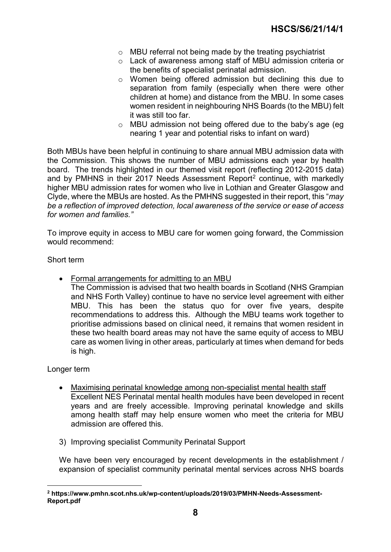- o MBU referral not being made by the treating psychiatrist
- o Lack of awareness among staff of MBU admission criteria or the benefits of specialist perinatal admission.
- o Women being offered admission but declining this due to separation from family (especially when there were other children at home) and distance from the MBU. In some cases women resident in neighbouring NHS Boards (to the MBU) felt it was still too far.
- o MBU admission not being offered due to the baby's age (eg nearing 1 year and potential risks to infant on ward)

Both MBUs have been helpful in continuing to share annual MBU admission data with the Commission. This shows the number of MBU admissions each year by health board. The trends highlighted in our themed visit report (reflecting 2012-2015 data) and by PMHNS in their [2](#page-7-0)017 Needs Assessment Report<sup>2</sup> continue, with markedly higher MBU admission rates for women who live in Lothian and Greater Glasgow and Clyde, where the MBUs are hosted. As the PMHNS suggested in their report, this "*may be a reflection of improved detection, local awareness of the service or ease of access for women and families."*

To improve equity in access to MBU care for women going forward, the Commission would recommend:

Short term

- Formal arrangements for admitting to an MBU
	- The Commission is advised that two health boards in Scotland (NHS Grampian and NHS Forth Valley) continue to have no service level agreement with either MBU. This has been the status quo for over five years, despite recommendations to address this. Although the MBU teams work together to prioritise admissions based on clinical need, it remains that women resident in these two health board areas may not have the same equity of access to MBU care as women living in other areas, particularly at times when demand for beds is high.

Longer term

- Maximising perinatal knowledge among non-specialist mental health staff Excellent NES Perinatal mental health modules have been developed in recent years and are freely accessible. Improving perinatal knowledge and skills among health staff may help ensure women who meet the criteria for MBU admission are offered this.
- 3) Improving specialist Community Perinatal Support

We have been very encouraged by recent developments in the establishment / expansion of specialist community perinatal mental services across NHS boards

<span id="page-7-0"></span> **<sup>2</sup> https://www.pmhn.scot.nhs.uk/wp-content/uploads/2019/03/PMHN-Needs-Assessment-Report.pdf**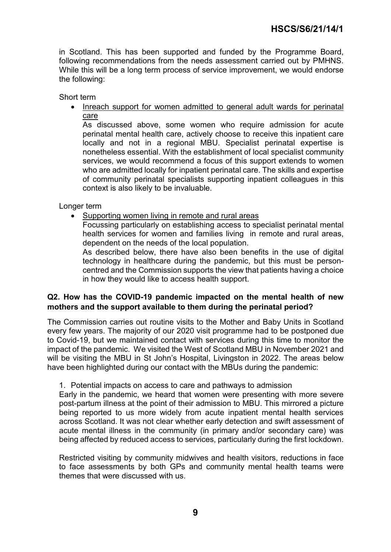in Scotland. This has been supported and funded by the Programme Board, following recommendations from the needs assessment carried out by PMHNS. While this will be a long term process of service improvement, we would endorse the following:

Short term

• Inreach support for women admitted to general adult wards for perinatal care

As discussed above, some women who require admission for acute perinatal mental health care, actively choose to receive this inpatient care locally and not in a regional MBU. Specialist perinatal expertise is nonetheless essential. With the establishment of local specialist community services, we would recommend a focus of this support extends to women who are admitted locally for inpatient perinatal care. The skills and expertise of community perinatal specialists supporting inpatient colleagues in this context is also likely to be invaluable.

Longer term

• Supporting women living in remote and rural areas

Focussing particularly on establishing access to specialist perinatal mental health services for women and families living in remote and rural areas, dependent on the needs of the local population.

As described below, there have also been benefits in the use of digital technology in healthcare during the pandemic, but this must be personcentred and the Commission supports the view that patients having a choice in how they would like to access health support.

#### **Q2. How has the COVID-19 pandemic impacted on the mental health of new mothers and the support available to them during the perinatal period?**

The Commission carries out routine visits to the Mother and Baby Units in Scotland every few years. The majority of our 2020 visit programme had to be postponed due to Covid-19, but we maintained contact with services during this time to monitor the impact of the pandemic. We visited the West of Scotland MBU in November 2021 and will be visiting the MBU in St John's Hospital, Livingston in 2022. The areas below have been highlighted during our contact with the MBUs during the pandemic:

#### 1. Potential impacts on access to care and pathways to admission

Early in the pandemic, we heard that women were presenting with more severe post-partum illness at the point of their admission to MBU. This mirrored a picture being reported to us more widely from acute inpatient mental health services across Scotland. It was not clear whether early detection and swift assessment of acute mental illness in the community (in primary and/or secondary care) was being affected by reduced access to services, particularly during the first lockdown.

Restricted visiting by community midwives and health visitors, reductions in face to face assessments by both GPs and community mental health teams were themes that were discussed with us.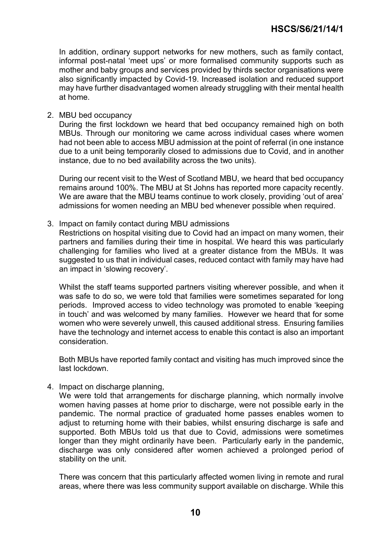In addition, ordinary support networks for new mothers, such as family contact, informal post-natal 'meet ups' or more formalised community supports such as mother and baby groups and services provided by thirds sector organisations were also significantly impacted by Covid-19. Increased isolation and reduced support may have further disadvantaged women already struggling with their mental health at home.

#### 2. MBU bed occupancy

During the first lockdown we heard that bed occupancy remained high on both MBUs. Through our monitoring we came across individual cases where women had not been able to access MBU admission at the point of referral (in one instance due to a unit being temporarily closed to admissions due to Covid, and in another instance, due to no bed availability across the two units).

During our recent visit to the West of Scotland MBU, we heard that bed occupancy remains around 100%. The MBU at St Johns has reported more capacity recently. We are aware that the MBU teams continue to work closely, providing 'out of area' admissions for women needing an MBU bed whenever possible when required.

3. Impact on family contact during MBU admissions

Restrictions on hospital visiting due to Covid had an impact on many women, their partners and families during their time in hospital. We heard this was particularly challenging for families who lived at a greater distance from the MBUs. It was suggested to us that in individual cases, reduced contact with family may have had an impact in 'slowing recovery'.

Whilst the staff teams supported partners visiting wherever possible, and when it was safe to do so, we were told that families were sometimes separated for long periods. Improved access to video technology was promoted to enable 'keeping in touch' and was welcomed by many families. However we heard that for some women who were severely unwell, this caused additional stress. Ensuring families have the technology and internet access to enable this contact is also an important consideration.

Both MBUs have reported family contact and visiting has much improved since the last lockdown.

4. Impact on discharge planning,

We were told that arrangements for discharge planning, which normally involve women having passes at home prior to discharge, were not possible early in the pandemic. The normal practice of graduated home passes enables women to adjust to returning home with their babies, whilst ensuring discharge is safe and supported. Both MBUs told us that due to Covid, admissions were sometimes longer than they might ordinarily have been. Particularly early in the pandemic, discharge was only considered after women achieved a prolonged period of stability on the unit.

There was concern that this particularly affected women living in remote and rural areas, where there was less community support available on discharge. While this